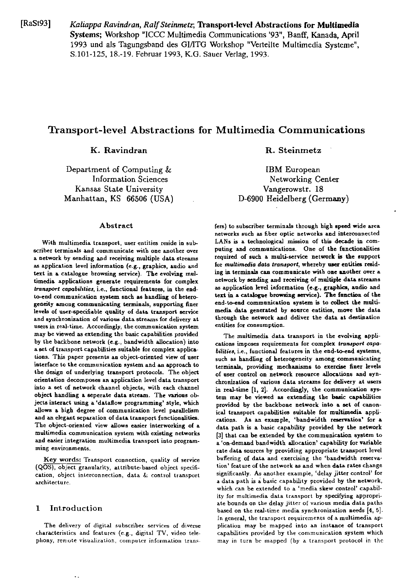[RaSt93] Kaliappa Ravindran, Ralf Steinmetz, Transport-level Abstractions for Multimedia Systems: Workshop "ICCC Multimedia Communications '93", Banff, Kanada, April 1993 und als Tagungsband des GI/ITG Workshop "Verteilte Multimedia Systeme", S.101-125, 18.-19. Februar 1993, K.G. Sauer Verlag, 1993.

# **Transport-level Abstractions for Multimedia Communications**

K. Ravindran

Department of Computing & **Information Sciences** Kansas State University Manhattan, KS 66506 (USA)

## Abstract

With multimedia transport, user entities reside in subscriber terminals and communicate with one another over a network by sending and receiving multiple data streams as application level information (e.g., graphics, audio and text in a catalogue browsing service). The evolving multimedia applications generate requirements for complex transport capabilities, i.e., functional features, in the endto-end communication system snch as handling of heterogeneity among communicating terminals, supporting finer levels of user-specifiable quality of data transport service and synchronization of various data streams for delivery at users in real-time. Accordingly, the communication system may be viewed as extending the basic capabilities provided by the backbone network (e.g., bandwidth allocation) into a set of transport capabilities suitable for complex applications. This paper presents an object-oriented view of user interface to the communication system and an approach to the design of underlying transport protocols. The object orientation decomposes an application level data transport into a set of network channel objects, with each channel object handling a seperate data stream. The various objects interact using a 'dataflow programming' style, which allows a high degree of communication level parallelism and an elegant separation of data transport functionalities. The object-oriented view allows easier interworking of a multimedia communication system with existing networks and easier integration multimedia transport into programming environments.

Key words: Transport connection, quality of service (QOS), object granularity, attribute-based object specification, object interconnection, data & control transport architecture.

#### $\mathbf{1}$ Introduction

The delivery of digital subscriber services of diverse characteristics and features (e.g., digital TV, video telephony, remote visualization, computer information transR. Steinmetz

**IBM** European Networking Center Vangerowstr. 18 D-6900 Heidelberg (Germany)

fers) to subscriber terminals through high speed wide area networks such as fiber optic networks and interconnected LANs is a technological mission of this decade in computing and communications. One of the functionalities required of such a multi-service network is the support for multimedia data transport, whereby user entities residing in terminals can communicate with one another over a network by sending and receiving of multiple data streams as application level information (e.g., graphics, audio and text in a catalogue browsing service). The function of the end-to-end communication system is to collect the multimedia data generated by source entities, move the data through the network and deliver the data at destination entities for consumption.

The multimedia data transport in the evolving applications imposes requirements for complex transport capabilities, i.e., functional features in the end-to-end systems, such as handling of heterogeneity among communicating terminals, providing mechanisms to exercise finer levels of user control on network resource allocations and synchronization of various data streams for delivery at users in real-time [1, 2]. Accordingly, the communication system may be viewed as extending the basic capabilities provided by the backbone network into a set of canonical transport capabilities suitable for multimedia applications. As an example, 'bandwidth reservation' for a data path is a basic capability provided by the network [3] that can be extended by the communication system to a 'on-demand bandwidth allocation' capability for variable rate data sources by providing appropriate transport level buffering of data and exercising the 'bandwidth reservation' feature of the network as and when data rates change significantly. As another example, 'delay jitter control' for a data path is a basic capability provided by the network, which can be extended to a 'media skew control' capability for multimedia data transport by specifying appropriate bounds on the delay jitter of various media data paths based on the real-time media synchronization needs  $[4, 5]$ . In general, the transport requirements of a multimedia application may be mapped into an instance of transport capabilities provided by the communication system which may in turn be mapped (by a transport protocol in the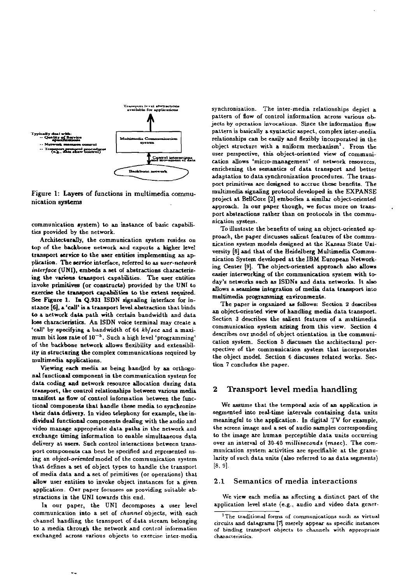

Figure 1: Layers of functions in multimedia communication systems

communication system) to an instance of basic capabilities provided by the network.

Architecturally, the communication system resides on top of the backbone network and exports a higher level transport service to the user entities implementing an application. The service interface, referred to as user-network interface (UNI), embeds a set of abstractions characterizing the various transport capabilities. The user entities invoke primitives (or constructs) provided by the UNI to exercise the transport capabilities to the extent required. See Figure 1. In Q.931 ISDN signaling interface for instance [6], a 'call' is a transport level abstraction that binds to a network data path with certain bandwidth and data loss characteristics. An ISDN voice terminal may create a 'call' by specifying a bandwidth of 64 kb/sec and a maximum bit loss rate of  $10^{-5}$ . Such a high level 'programming' of the backbone network allows flexibility and extensibility in structuring the complex communications required by multimedia applications.

Viewing each media as being handled by an orthogonal functional component in the communication system for data coding and network resource allocation during data transport, the control relationships between various media manifest as flow of control information between the functional components that handle these media to synchronize their data delivery. In video telephony for example, the individual functional components dealing with the audio and video manage appropriate data paths in the network and exchange timing information to enable simultaneous data delivery at users. Such control interactions between transport components can best be specified and represented nsing an object-oriented model of the communication system that defines a set of object types to handle the transport of media data and a set of primitives (or operations) that allow user entities to invoke object instances for a given application. Our paper focusses on providing suitable abstractions in the UNI towards this end.

In our paper, the UNI decomposes a user level communication into a set of channel objects, with each channel handling the transport of data stream belonging to a media through the network and control information exchanged across various objects to exercise inter-media

synchronization. The inter-media relationships depict a pattern of flow of control information across various objects by operation invocations. Since the information flow pattern is basically a syntactic aspect, complex inter-media relationships can be easily and flexibly incorporated in the object structure with a nniform mechanism<sup>2</sup>. From the user perspective, this object-oriented view of communication allows 'micro-management' of network resources. enrichening the semantics of data transport and better adaptation to data synchronization procedures. The transport primitives are designed to accrue these benefits. The multimedia signaling protocol developed in the EXPANSE project at BellCore [2] embodies a similar object-oriented approach. In our paper though, we focus more on transport abstractions rather than on protocols in the communication system.

To illustrate the benefits of using an object-oriented approach, the paper discusses salient features of the communication system models designed at the Kansas State University [8] and that of the Heidelberg Multimedia Communication System developed at the IBM European Networking Center [9]. The object-oriented approach also allows easier interworking of the communication system with today's networks such as ISDNs and data networks. It also allows a seamless integration of media data transport into multimedia programming environments.

The paper is organized as follows: Section 2 describes an object-oriented view of handling media data transport. Section 3 describes the salient features of a multimedia communication system arising from this view. Section 4 describes our model of object orientation in the communication system. Section 5 discusses the architectural perspective of the communication system that incorporates the object model. Section 6 discusses related works. Section 7 concludes the paper.

#### $\mathbf 2$ Transport level media handling

We assume that the temporal axis of an application is segmented into real-time intervals containing data units meaningful to the application. In digital TV for example, the screen image and a set of audio samples corresponding to the image are human perceptible data units occurring over an interval of 30-40 milliseconds (msec). The communication system activities are specifiable at the granularity of such data units (also referred to as data segments)  $[8, 9].$ 

#### Semantics of media interactions  $2.1$

We view each media as affecting a distinct part of the application level state (e.g., audio and video data gener-

<sup>&</sup>lt;sup>1</sup>The traditional forms of communications such as virtual circuits and datagrams [7] merely appear as specific instances of binding transport objects to channels with appropriate characteristics.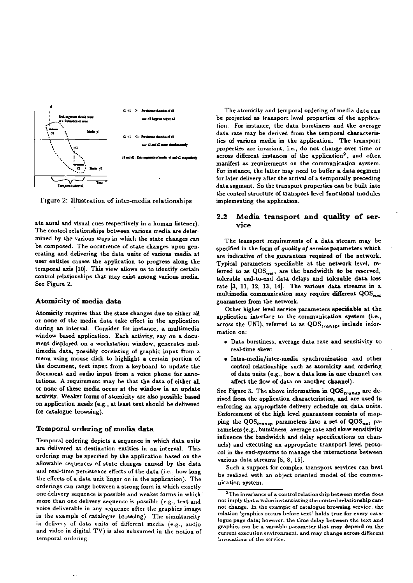

Figure 2: Illustration of inter-media relationships

ate aural and visual cues respectively in a human listener). The control relationships between various media **ire** determined by the various ways in which the state changes can be composed. The occurrence of state changes upon generating and delivering the data units of various media at user entities causes the application to progress along the temporal axis [10]. This view allows us to identify certain control relationships that may exist among various media. See Figure 2.

# **Atomicity of media data**

Atomicity requires that the state changes due to either all or none 01' the media data take effect in the application during an intervd. Consider for instance, a multimedia window based application. Each activity, say on a document displayed on a workstation window, generates multimedia data, possibly consisting of graphic input from a menu using mouse click to highlight a certain portion of the document, text input from a keyboard to update the document and audio input from a voice phone for annotations. A requirement may be that the data of either all or none of these media occur at the window in an update activity. Weaker forms of atomicity are also possible based on applicat.ion needs (e.g., at least text shouid be delivered for catalogue browsing).

## **Tempond ordering of media data**

Temporal ordering depicts a sequence in which data units are delivered at destination entities in an interval. This ordering niay be specified by the application based on the aliowable sequences of state changes caused by the data and real-time persistence effects of the data (i.e., how long the effects of a data unit linger on in the application). The orderings can range between a strong form in which exactly one delivery sequence is possible and weaker forms in which more than ane delivery sequence is possible (e.g., text and voice deliverable in any sequence after the graphics image in the example of catalogue browsing). The simultaneity in delivery of data units of different media (e.g., audio and video in digital TV) is also subsumed in the notion of lemparal ordering.

The atomicity and temporal ordering of media data can be projected **as** transport level properties of the application. For instance, the data burstiness and the average data rate may be derived from the tempord characteris tics of various media in the application. The transport properties are invariant, i.e., do not change wer time or across different instances of the application<sup>2</sup>, and often manifest **as** requirements on the communication aystem. For instance, the latter may need to buffer a data segment for later delivery after the arrival of **e.** tempordy preceding data segment. So the transport properties can be built into the control structure of transport level functiond moduies implementing the application.

# **2.2 Media transport and quality of service**

The transport requirements of a data stream may be specified in the form of *quality of service* parameters which are indicative of the guarantees required of the network. Typical parameters specifiable at the network level, referred to as QOS<sub>net</sub>, are the bandwidth to be reserved, tolerable end-to-end data delays and tolerable data loss rate [3, 11, 12, 13, 14]. The various data streams in a multimedia communication may require different QOS<sub>net</sub> guarantees from the network.

Other higher level service parameters specinable at the application interface to the communication system (i.e., across the UNI), referred to as QOS<sub>transp</sub>, include information On:

- Data burstiness. average data rate and sensitivity ta red-time skew;
- . Intra-media/inter-media synchronization and other control relationships such as atomicity and ordering of data units (e.g., how a data loss in one channel can affect the flow of data on another channel).

See Figure 3. The above information in  $QOS_{\epsilon_{randnp}}$  are derived from the application characteristics, and are used in enforcing an appropriate delivery schedule on data units. Enforcement of the high level guarantees **conaista** of map ping the  $QOS_{transp}$  parameters into a set of  $QOS_{net}$  parameters (e.g., burstiness, average rate and skew sensitivity influence the bandwidth and delay specifications on channels) and executing an appropriate transport level protocol in the end-systems to manage the interactions between various data streams [5, 8, 15].

Such a support for complex transport services can best be realized with an object-oriented model of the communication System.

<sup>&</sup>lt;sup>2</sup>The invariance of a control relationship between media does not imply that a value instantiating the control relationship cannot change. In the example of catalogue browsing service, the relation 'graphics occurs before text' holds true for every catalogue page data; however, the time delay between the text and graphica can bc **a** variable paramctcr that **msy** depend on thc current execution environment, and may change across different  $involations of the service.$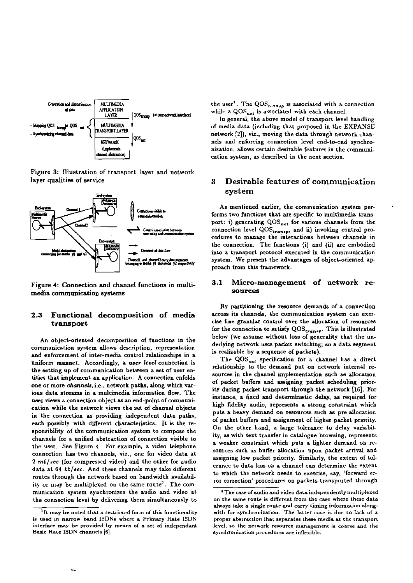

Figure 3: Illustration of transport layer and network layer qualities of service



Figure 4: Connection and channel functions in multimedia communication systems

## Functional decomposition of media  $2.3$ transport

An object-oriented decomposition of functions in the communication system allows description, representation and enforcement of inter-media control relationships in a uniform manner. Accordingly, a user level connection is the setting up of communication between a set of user entities that implement an application. A connection enfolds one or more channels, i.e., network paths, along which various data streams in a multimedia information flow. The user views a connection object as an end-point of communication while the network views the set of channel objects in the connection as providing independent data paths, each possibly with different characteristics. It is the responsibility of the communication system to compose the channels for a unified abstraction of connection visible to the user. See Figure 4. For example, a video telephone connection has two channels, viz., one for video data at 2 mb/sec (for compressed video) and the other for audio data at 64 kb/sec. And these channels may take different routes through the network based on bandwidth availability or may be multiplexed on the same route<sup>3</sup>. The communication system synchronizes the audio and video at the connection level by delivering them simultaneously to

the user<sup>4</sup>. The QOS<sub>transp</sub> is associated with a connection while a  $QOS_{net}$  is associated with each channel.

In general, the above model of transport level handling of media data (including that proposed in the EXPANSE network [2]), viz., moving the data through network channels and enforcing connection level end-to-end synchronization, allows certain desirable features in the communication system, as described in the next section.

## 3 Desirable features of communication system

As mentioned earlier, the communication system performs two functions that are specific to multimedia transport: i) generating QOS<sub>net</sub> for various channels from the connection level QOStransp, and ii) invoking control procedures to manage the interactions between channels in the connection. The functions (i) and (ii) are embodied into a transport protocol executed in the communication system. We present the advantages of object-oriented approach from this framework.

### Micro-management of network re- $3.1$ sources

By partitioning the resource demands of a connection across its channels, the communication system can exercise fine granular control over the allocation of resources for the connection to satisfy QOS<sub>transp</sub>. This is illustrated below (we assume without loss of generality that the underlying network uses packet switching; so a data segment is realizable by a sequence of packets).

The QOS<sub>net</sub> specification for a channel has a direct relationship to the demand put on network internal resources in the channel implementation such as allocation of packet buffers and assigning packet scheduling priority during packet transport through the network [16]. For instance, a fixed and deterministic delay, as required for high fidelity audio, represents a strong constraint which puts a heavy demand on resources such as pre-allocation of packet buffers and assignment of higher packet priority. On the other hand, a large tolerance to delay variability, as with text transfer in catalogue browsing, represents a weaker constraint which puts a lighter demand on resources such as buffer allocation upon packet arrival and assigning low packet priority. Similarly, the extent of tolerance to data loss on a channel can determine the extent to which the network needs to exercise, say, 'forward error correction' procedures on packets transported through

<sup>&</sup>lt;sup>3</sup>It may be noted that a restricted form of this functionality is used in narrow band ISDNs where a Primary Rate ISDN interface may be provided by means of a set of independant Basic Rate ISDN channels [6].

<sup>&</sup>lt;sup>4</sup> The case of audio and video data independently multiplexed on the same route is different from the case where these data always take a single route and carry timing information alongwith for synchronization. The latter case is due to lack of a proper abstraction that separates these media at the transport level, so the network resource management is coarse and the synchronization procedures are inflexible.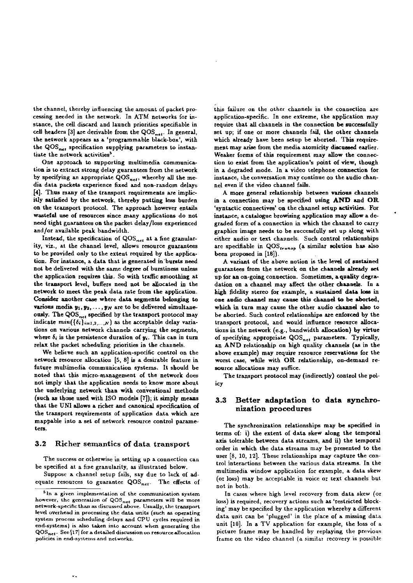the channel, thereby influencing the amount of packet processing needed in the network. In ATM networks for instance, the cell discard and launch priorities specifiable in cell headers [3] are derivable from the  $QOS_{net}$ . In general, the network appears as a 'programmable black-box', with the QOS<sub>net</sub> specification supplying parameters to instantiate the network activities<sup>5</sup>.

One approach to supporting multimedia communication is to extract strong delay guarantees from the network by specifying an appropriate  $QOS_{net}$ , whereby all the media data packets experience fixed and non-random delays [4]. Thus many of the transport requirements are implicitly satisfied by the network, thereby putting less burden on the transport protocol. The approach however entails wasteful use of resources since many applications do not need tight gnarantees on the packet delay/loss experienced and/or available peak bandwidth.

Instead, the specification of QOS<sub>net</sub> at a fine granularity, viz., at the channel level, allows resource guarantees to be provided only to the extent required by the application. For instance, a data that is generated in bursts need not be delivered with the same degree of burstiness unless the application requires this. So with traffic smoothing at the transport level, buffers need not be allocated in the network to meet the peak data rate from the application. Consider another case where data segments belonging to various media  $y_1, y_2, \ldots, y_N$  are to be delivered simultaneously. The QOS<sub>net</sub> specified by the transport protocol may indicate  $min(\{\delta_i\}_{i=1,2,...,N})$  as the acceptable delay variations on various network channels carrying the segments, where  $\delta_i$  is the persistence duration of  $y_i$ . This can in turn relax the packet scheduling priorities in the channels.

We believe such an application-specific control on the network resource allocation [5, 8] is a desirable feature in future multimedia communication systems. It should be noted that this micro-management of the network does not imply that the application needs to know more about the underlying network than with conventional methods (such as those used with ISO models [7]); it simply means that the UNI allows a richer and canonical specification of the transport requirements of application data which are mappable into a set of network resource control parameters.

#### $3.2$ Richer semantics of data transport

The success or otherwise in setting up a connection can be specified at a fine granularity, as illustrated below.

Suppose a channel setup fails, say due to lack of adequate resources to guarantee  $QOS_{net}$ . The effects of this failure on the other channels in the connection are application-specific. In one extreme, the application may require that all channels in the connection be successfully set up; if one or more channels fail, the other channels which already have been setup be aborted. This requirement may arise from the media atomicity discussed earlier. Weaker forms of this requirement may allow the connection to exist from the application's point of view, though in a degraded mode. In a video telephone connection for instance, the conversation may continue on the audio channel even if the video channel fails.

A more general relationship between various channels in a connection may be specified using AND and OR 'syntactic connectives' on the channel setup activities. For instance, a catalogue browising application may allow a degraded form of a connection in which the channel to carry graphics image needs to be successfully set up along with either audio or text channels. Such control relationships are specifiable in QOS<sub>transp</sub> (a similar solution has also been proposed in [18]).

A variant of the above notion is the level of sustained guarantees from the network on the channels already set up for an on-going connection. Sometimes, a quality degradation on a channel may affect the other channels. In a high fidelity stereo for example, a sustained data loss in one audio channel may cause this channel to be aborted, which in turn may cause the other audio channel also to be aborted. Such control relationships are enforced by the transport protocol, and would influence resource allocations in the network (e.g., bandwidth allocation) by virtue of specifying appropriate QOS<sub>net</sub> parameters. Typically, an AND relationship on high quality channels (as in the above example) may require resource reservations for the worst case, while with OR relationship, on-demand resource allocations may suffice.

The transport protocol may (indirectly) control the policv

## $\bf 3.3$ Better adaptation to data synchronization procedures

The synchronization relationships may be specified in terms of: i) the extent of data skew along the temporal axis tolerable between data streams, and ii) the temporal order in which the data streams may be presented to the user [8, 10, 12]. These relationships may capture the control interactions between the various data streams. In the multimedia window application for example, a data skew (or loss) may be acceptable in voice or text channels but not in both.

In cases where high level recovery from data skew (or loss) is required, recovery actions such as 'restricted blocking' may be specified by the application whereby a different data unit can be 'plugged' in the place of a missing data unit [10]. In a TV application for example, the loss of a picture frame may be handled by replaying the previous frame on the video channel (a similar recovery is possible

<sup>&</sup>lt;sup>5</sup> In a given implementation of the communication system however, the generation of QOS<sub>net</sub> parameters will be more network-specific than as discussed above. Usually, the transport level overhead in processing the data units (such as operating system process scheduling delays and CPU cycles required in end-systems) is also taken into account when generating the  $\textsf{QOS}_{\textsf{net}}.$  See [17] for a detailed discussion on resource allocation policies in end-systems and networks.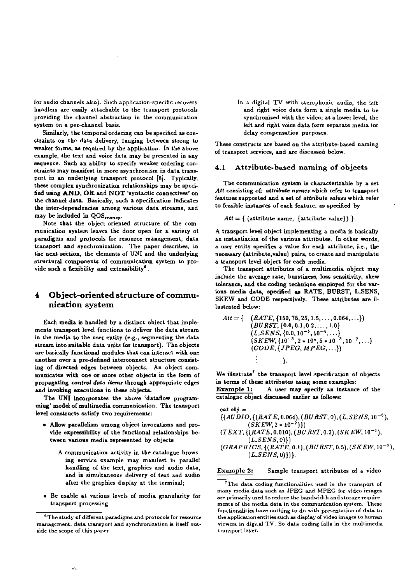for audio channek **Ao).** Such application-specific recavery handlers are easily attachable to the transport protocols providing the cbannel abstraction in the communication system on a per-channel basis.

Similarly, the temporal ordering can be specified as constraints on the data delivery, ranging between strong to<br>weaker forms, as required by the application. In the above<br>example, the text and voice data may be presented in any of transport services, and are discussed below. sequence. Such an abiiity to specify weaker ordering constraints may manifest in more asynchronism in data trans port in an underlying transport protocol [8]. Typically, these complex synchronization relationships may be specified using AND, OR and NOT 'syntactic connectives' on the channel data. Basically, such a specification indicates the inter-dependencies among various data streams, and may be included in  $QOS_{transp}$ .

Note tbat the object-oriented structure of the cammunication syskm leaves the door Open Ior a variety of paradigms and protocols for resource management, data paradigms and protocols for resource management, data<br>transport and synchronization. The paper describes, in the next section, the elements of UNI and the underlying structural components of communication system to provide such a flexibility and extensibility<sup>6</sup>.

# **nication system** lustrated below:

Each media is handled by a distinct object that imple-<br>ments transport level functions to deliver the data stream in the media to the user entity (e.g., segmenting the data stream into suitable data units for transport). The objects are basically functional modules that can interact with one another over a pre-defined interconnect structure consisting of directed edges between objects. An object communicates with one or more other objecta in the form of propagating control data items through appropriate edges and invoking executions in these objects.

The UNI incorporates the above 'dataflow programmiug' model of multimedia communication. The transport level constructs satisfy two requirements:

- Allow parallelism among object invocations and provide expressibiiity ol the functional relationships between various media represented by objects
	- A communication activity in the catalogue browsing service example may manifest in parallel handling of the text, graphics and audio data, and in simultaneous delivery of text and audio after the graphics display at the terminal;
- Be usable at various levels af media granularity for transport processing

In **a** digital TV with steraphanic audio, the left and right voice data form a single media to be synchronized with the video; at a lower level, the left and right vaice data form separate media for delay compensation purposes.

# **4.1 Attribute-based naming of objects**

The communication system **is** characterizable by a set Att consisting of: attribute names which refer to transport features supported and a set of attribute values which refer to feasible instances of each feature, as specified by

 $Att = \{ (attribute name, {attribute value}) \}.$ 

A transport level object implementing a media is basically an instantiation of the various attributes. In other words, a user entity specifies a vdue for **each** attribute, i.e., the necessary (attribute,vdue) pairs, to create and manipulate a transport level object for each media.

The transport attributes of a multimedia object may include the average rate, burstiness, loss sensitivity, skew tolerance, and the coding techniqne employed for the var-4 Object-oriented structure of commu-<br>SKEW and CODE respectively. These attributes are il-

$$
Att = \{ \begin{array}{c} (RATE, \{150, 75, 25, 1.5, \ldots, 0.064, \ldots\}) \\ (BURST, \{0.0, 0.1, 0.2, \ldots, 1.0\} \\ (LSENS, \{0.0, 10^{-5}, 10^{-4}, \ldots\} \\ (SKEW, \{10^{-3}, 2*10^5, 5*10^{-3}, 10^{-2}, \ldots\}) \\ (CODE, \{JPEG, MPEG, \ldots\}) \\ \vdots \end{array} \}
$$

We illustrate<sup>7</sup> the transport level specification of objects in terms of these attributes nsing some examples: Example 1: A user may specify an instance of the catalogne object discussed earlier as follows:

$$
\begin{array}{l} \textit{cat.obj} = \\ \{(AUDIO, \{(RATE, 0.064), (BURST, 0), (LSENS, 10^{-5}), \\ (SKEW, 2 * 10^{-2})\}) \\ (TEXT, \{(RATE, 0.010), (BURST, 0.2), (SKEW, 10^{-1}), \\ (LSENS, 0)\}) \\ (GRAPHICS, \{(RATE, 0.1), (BURST, 0.5), (SKEW, 10^{-3}), \\ (LSENS, 0)\})\}. \end{array}
$$

## Example 2: Sample transport attributes of a video

<sup>&</sup>lt;sup>6</sup>The study of different paradigms and protocols for resource management, data transport and synchronization is itself outside rhe scopc of Lhis **Paper.** 

The data coding functionalities used in the transport of <br>
rnany media data such as JPEG and MPEG for video images are primarily used to reduce the bandwidth and storage requiremcnts of the **mcdia** data in the cammunication system. These functionalities have nothing to do with presentation of data to the application entities such as display of video images to human viewers in digital TV. So data coding falls in the multimedia transport layer.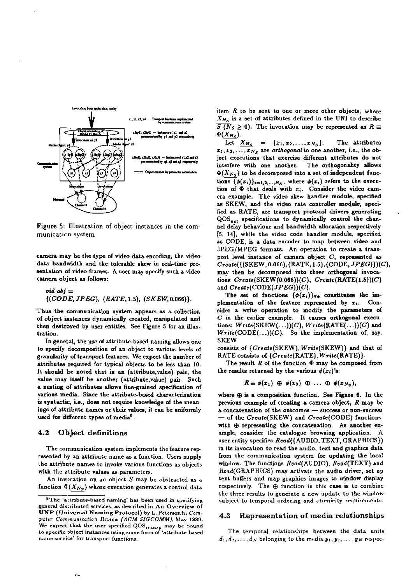

Figure 5: Illustration of object instances in the communication system

camera may be the type of video data encoding, the video data bandwidth and the tolerable skew in real-time presentation of video frames. A user may specify such a video camera object as follows:

$$
vid\_obj = \{(CODE, JPEG), (RATE, 1.5), (SKEW, 0.066)\}.
$$

Thus the communication system appears as a collection of object instances dynamically created, manipulated and then destroyed by user entities. See Figure 5 for an illustration.

In general, the use of attribute-based naming allows one to specify decomposition of an object to various levels of granularity of transport features. We expect the number of attributes required for typical objects to be less than 10. It should be noted that in an (attribute, value) pair, the value may itself be another (attribute, value) pair. Such a nesting of attributes allows fine-grained specification of various media. Since the attribute-based characterization is syntactic, i.e., does not require knowledge of the meanings of attribute names or their values, it can be uniformly used for different types of media<sup>8</sup>.

#### $4.2$ Object definitions

The communication system implements the feature represented by an attribute name as a function. Users supply the attribute names to invoke various functions as objects with the attribute values as parameters.

An invocation on an object  $S$  may be abstracted as a function  $\Phi(X_{N_S})$  whose execution generates a control data item R to be sent to one or more other objects, where  $X_{N_s}$  is a set of attributes defined in the UNI to describe  $\overline{S(N_S \geq 0)}$ . The invocation may be represented as  $R \equiv$  $\Phi(X_{N_S}).$ 

Let  $X_{N_S} = \{x_1, x_2, ..., x_{N_S}\}.$ The attributes  $x_1, x_2, \ldots, x_{N_S}$  are orthogonal to one another, i.e., the object executions that exercise different attributes do not interfere with one another. The orthogonality allows  $\Phi(X_{N_S})$  to be decomposed into a set of independent functions  $\{\phi(x_i)\}_{i=1,2,...,N_S}$ , where  $\phi(x_i)$  refers to the execution of  $\Phi$  that deals with  $x_i$ . Consider the video camera example. The video skew handler module, specified as SKEW, and the video rate controller module, specified as RATE, are transport protocol drivers generating QOS<sub>net</sub> specifications to dynamically control the channel delay behaviour and bandwidth allocation respectively [5, 14], while the video code handler module, specified as CODE, is a data encoder to map between video and JPEG/MPEG formats. An operation to create a transport level instance of camera object  $C$ , represented as  $Create({(SKEW, 0.066), (RATE, 1.5), (CODE, JPEG)})(C),$ may then be decomposed into three orthogonal invocations  $Create(SKEW(0.066))(C)$ ,  $Create(RATE(1.5))(C)$ and  $Create(CODE(JPEG))(C)$ .

The set of functions  $\{\phi(x_i)\}_{\forall \phi}$  constitutes the implementation of the feature represented by  $x_i$ . Consider a write operation to modify the parameters of  $C$  in the earlier example. It causes orthogonal executions:  $Write(SKEW(...))(C), Write(RATE(...))(C)$  and  $Write(CODE(...))(C)$ . So the implementation of, say, **SKEW** 

consists of {Create(SKEW), Write(SKEW)} and that of RATE consists of {Create(RATE), Write(RATE)}.

The result  $R$  of the function  $\Phi$  may be composed from the results returned by the various  $\phi(x_i)$ 's:

$$
R \equiv \phi(x_1) \oplus \phi(x_2) \oplus \ldots \oplus \phi(x_{N_S}),
$$

where  $\oplus$  is a composition function. See Figure 6. In the previous example of creating a camera object,  $R$  may be a concatenation of the outcomes - success or non-success - of the Create(SKEW) and Create(CODE) functions, with  $\oplus$  representing the concatenation. As another example, consider the catalogue browsing application. A user entity specifies Read({AUDIO, TEXT, GRAPHICS}) in its invocation to read the audio, text and graphics data from the communication system for updating the local window. The functions Read(AUDIO), Read(TEXT) and Read(GRAPHICS) may activate the audio driver, set up text buffers and map graphics images to window display respectively. The  $\oplus$  function in this case is to combine the three results to generate a new update to the window subject to temporal ordering and atomicity requirements.

#### Representation of media relationships  $4.3$

The temporal relationships between the data units  $d_1, d_2, \ldots, d_N$  belonging to the media  $y_1, y_2, \ldots, y_N$  respec-

<sup>&</sup>lt;sup>8</sup>The 'attribute-based naming' has been used in specifying general distributed services, as described in An Overview of UNP (Universal Naming Protocol) by L. Peterson in Computer Communication Review (ACM SIGCOMM), May 1989. We expect that the user specified QOS<sub>transp</sub> may be bound<br>to specific object instances using some form of 'attribute-based name service' for transport functions.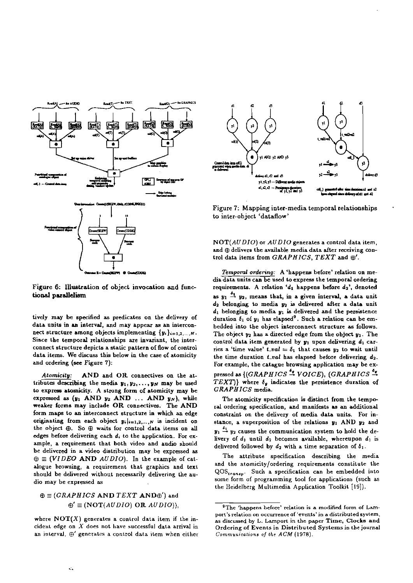

Figure 6: Illustration of object invocation and functional parallelism

tively may be specified as predicates on the delivery of data units in an interval, and may appear as an interconnect structure among objects implementing  $\{y_i\}_{i=1,2,\ldots,N}$ . Since the temporal relationships are invariant, the interconnect structure depicts a static pattern of flow of control data items. We discuss this below in the case of atomicity and ordering (see Figure 7):

AND and OR connectives on the at-Atomicity: tributes describing the media  $y_1, y_2, \ldots, y_N$  may be used to express atomicity. A strong form of atomicity may be expressed as  $(y_1$  AND  $y_2$  AND ... AND  $y_N$ ), while weaker forms may include OR connectives. The AND form maps to an interconnect structure in which an edge originating from each object  $y_i|_{i=1,2,...,N}$  is incident on the object  $\oplus$ . So  $\oplus$  waits for control data items on all edges before delivering each  $d_i$  to the application. For example, a requirement that both video and audio should be delivered in a video distribution may be expressed as  $\oplus \equiv (VIDEO AND \; AUDIO)$ . In the example of catalogue browsing, a requirement that graphics and text should be delivered without necessarily delivering the audio may be expressed as

# $\oplus \equiv (GRAPHICS \text{ AND } TEXT \text{ AND}\oplus')$  and  $\mathbf{\Theta}' \equiv (NOT(AUDIO) \textbf{ OR } AUDIO).$

where  $NOT(X)$  generates a control data item if the incident edge on  $X$  does not have successful data arrival in an interval,  $\oplus'$  generates a control data item when either



Figure 7: Mapping inter-media temporal relationships to inter-object 'dataflow'

NOT(AUDIO) or AUDIO generates a control data item, and  $\oplus$  delivers the available media data after receiving control data items from GRAPHICS, TEXT and  $\oplus'$ .

Temporal ordering: A 'happens before' relation on media data units can be used to express the temporal ordering requirements. A relation ' $d_1$  happens before  $d_2$ ', denoted as  $y_1 \stackrel{\delta_1}{\rightarrow} y_2$ , means that, in a given interval, a data unit  $d_2$  belonging to media  $y_2$  is delivered after a data unit  $d_1$  belonging to media  $y_1$  is delivered and the persistence duration  $\delta_1$  of  $y_1$  has elapsed<sup>9</sup>. Such a relation can be embedded into the object interconnect structure as follows. The object  $y_2$  has a directed edge from the object  $y_1$ . The control data item generated by  $y_1$  upon delivering  $d_1$  carries a 'time value'  $t\_val = \delta_1$  that causes  $y_2$  to wait until the time duration  $t\_val$  has elapsed before delivering  $d_2$ . For example, the catague browsing application may be expressed as  $\{(GRAPHICS \stackrel{\delta_g}{\rightarrow} VOICE), (GRAPHICS \stackrel{\delta_g}{\rightarrow}$ TEXT)} where  $\delta_g$  indicates the persistence duration of GRAPHICS media.

The atomicity specification is distinct from the temporal ordering specification, and manifests as an additional constraint on the delivery of media data units. For instance, a superposition of the relations  $y_1$  AND  $y_2$  and  $y_1 \stackrel{\delta_1}{\rightarrow} y_2$  causes the communication system to hold the delivery of  $d_1$  until  $d_2$  becomes available, whereupon  $d_1$  is delivered followed by  $d_2$  with a time separation of  $\delta_1$ .

The attribute specification describing the media and the atomicity/ordering requirements constitute the QOS<sub>transp</sub>. Such a specification can be embedded into some form of programming tool for applications (such as the Heidelberg Multimedia Application Toolkit [19]).

<sup>&</sup>lt;sup>9</sup>The 'happens before' relation is a modified form of Lamport's relation on occurrence of 'events' in a distributed system, as discussed by L. Lamport in the paper Time, Clocks and Ordering of Events in Distributed Systems in the journal Communications of the ACM (1978).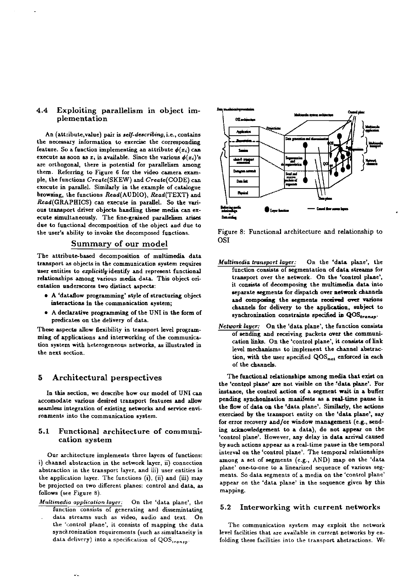## Exploiting parallelism in object im- $4.4$ plementation

An (attribute, value) pair is self-describing, i.e., contains the necessary information to exercise the corresponding feature. So a function implementing an attribute  $\phi(x_i)$  can execute as soon as  $x_i$  is available. Since the various  $\phi(x_i)$ 's are orthogonal, there is potential for parallelism among them. Referring to Figure 6 for the video camera example, the functions Create(SKEW) and Create(CODE) can execute in parallel. Similarly in the example of catalogue browsing, the functions Read(AUDIO), Read(TEXT) and Read(GRAPHICS) can execute in parallel. So the various transport driver objects handling these media can execute simultaneously. The fine-grained parallelism arises due to functional decomposition of the object and due to the user's ability to invoke the decomposed functions.

# Summary of our model

The attribute-based decomposition of multimedia data transport as objects in the communication system requires user entities to explicitly identify and represent functional relationships among various media data. This object orientation underscores two distinct aspects:

- A 'dataflow programming' style of structuring object interactions in the communication system;
- . A declarative programming of the UNI in the form of predicates on the delivery of data.

These aspects allow flexibility in transport level programming of applications and interworking of the communication system with heterogeneous networks, as illustrated in the next section.

#### Architectural perspectives 5

In this section, we describe how our model of UNI can accomodate various desired transport features and allow seamless integration of existing networks and service environments into the communication system.

## $5.1$ Functional architecture of communication system

Our architecture implements three layers of functions: i) channel abstraction in the network layer, ii) connection abstraction in the transport layer, and iii) user entities in the application layer. The functions (i), (ii) and (iii) may be projected on two different planes: control and data, as follows (see Figure 8).

Multimedia application layer: On the 'data plane', the

function consists of generating and dissemintating data streams such as video, audio and text. On the 'control plane', it consists of mapping the data synchronization requirements (such as simultaneity in data delivery) into a specification of  $QOS_{transp}$ .



Figure 8: Functional architecture and relationship to **OSI** 

- On the 'data plane', the Multimedia transport layer: function consists of segmentation of data streams for transport over the network. On the 'control plane', it consists of decomposing the multimedia data into separate segments for dispatch over network channels and composing the segments received over varions channels for delivery to the application, subject to synchronization constraints specified in  $QOS_{transp}$ .
- Network layer: On the 'data plane', the function consists of sending and receiving packets over the communication links. On the 'control plane', it consists of link level mechanisms to implement the channel abstraction, with the user specified QOS<sub>net</sub> enforced in each of the channels.

The functional relationships among media that exist on the 'control plane' are not visible on the 'data plane'. For instance, the control action of a segment wait in a buffer pending synchonization manifests as a real-time pause in the flow of data on the 'data plane'. Similarly, the actions exercised by the transport entity on the 'data plane', say for error recovery and/or window management (e.g., sending acknowledgement to a data), do not appear on the 'control plane'. However, any delay in data arrival caused by such actions appear as a real-time pause in the temporal interval on the 'control plane'. The temporal relationships among a set of segments (e.g., AND) map on the 'data plane' one-to-one to a linearized sequence of various segments. So data segments of a media on the 'control plane' appear on the 'data plane' in the sequence given by this mapping.

#### $5.2$ Interworking with current networks

The communication system may exploit the network level facilities that are available in current networks by enfolding these facilities into the transport abstractions. We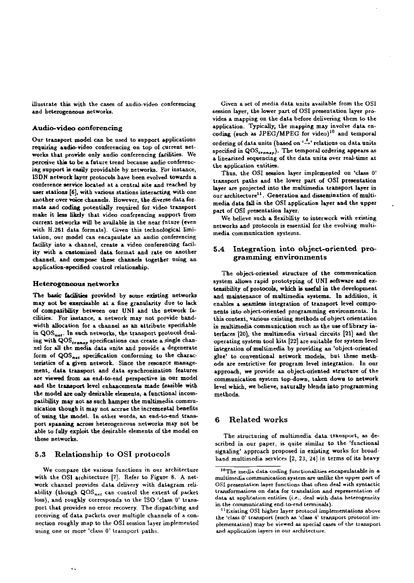illustrate this with the cases of audio-video conferencing and heterogeneous networks.

## Audio-video conferencing

Our transport model can be used to support applications requiring audio-video conferencing on top of current networks that provide only audio conferencing facilities. We perceive this to be a future trend because audio conferencing support is easily providable by networks. For instance, ISDN network layer protocols have been evolved towards a conference service located at a central site and reached by user stations [6], with various stations interacting with one another over voice channels. However, the diverse data formats and coding potentially required for video transport make it less likely that video conferencing support from current networks will be available in the near fnture (even with H.261 data formats). Given this technological limitation, our model can encapsulate an audio conferencing facility into a channel, create a video conferencing facility with a customized data format and rate on another channel, and compose these channels together using an application-specified control relationship.

## Heterogeneous networks

The basic facilities provided by some existing networks may not be exercisable at a fine granularity due to lack of compatibility between our UNI and the network facilities. For instance, a network may not provide bandwidth allocation for a channel as an attribute specifiable in QOS<sub>net</sub>. In such networks, the transport protocol dealing with QOS<sub>transp</sub> specifications can create a single channel for all the media data units and provide a degenerate form of QOS<sub>net</sub> specification conforming to the characteristics of a given network. Since the resonrce management, data transport and data synchronization features are viewed from an end-to-end perspective in our model and the transport level enhancements made feasible with the model are only desirable elements, a functional incompatibility may not as such hamper the multimedia communication though it may not accrue the incremental benefits of using the model. In other words, an end-to-end transport spanning across heterogeneous networks may not be able to fully exploit the desirable elements of the model on these networks.

#### Relationship to OSI protocols  $5.3$

We compare the various functions in our architecture with the OSI architecture [7]. Refer to Figure 8. A network channel provides data delivery with datagram reliability (though QOS<sub>net</sub> can control the extent of packet loss), and roughly corresponds to the ISO 'class 0' transport that provides no error recovery. The dispatching and receiving of data packets over multiple channels of a connection roughly map to the OSI session layer implemented using one or more 'class 0' transport paths.

Given a set of media data units available from the OSI session layer, the lower part of OSI presentation layer provides a mapping on the data before delivering them to the application. Typically, the mapping may involve data encoding (such as JPEG/MPEG for video)<sup>10</sup> and temporal ordering of data units (based on  $\stackrel{\delta}{\rightarrow}$  relations on data units specified in QOS<sub>transp</sub>). The temporal ordering appears as a linearized sequencing of the data units over real-time at the application entities.

Thus, the OSI session layer implemented on 'class 0' transport paths and the lower part of OSI presentation layer are projected into the multimedia transport layer in our architecture<sup>11</sup>. Generation and dissemination of multimedia data fall in the OSI application layer and the upper part of OSI presentation layer.

We believe such a flexibility to interwork with existing networks and protocols is essential for the evolving multimedia communication systems.

## Integration into object-oriented pro- $5.4$ gramming environments

The object-oriented structure of the communication system allows rapid prototyping of UNI software and extensibility of protocols, which is useful in the development and maintenance of multimedia systems. In addition, it enables a seamless integration of transport level components into object-oriented programming environments. In this context, various existing methods of object orientation in multimedia communication such as the use of library interfaces [20], the multimedia virtual circuits [21] and the operating system tool kits [22] are suitable for system level integration of multimedia by providing an 'object-oriented glue' to conventional network models, but these methods are restrictive for program level integration. In our approach, we provide an object-oriented structure of the communication system top-down, taken down to network level which, we believe, naturally blends into programming methods.

#### **Related works** 6

The structuring of multimedia data transport, as described in our paper, is quite similar to the 'functional signaling' approach proposed in existing works for broadband multimedia services [2, 23, 24] in terms of its heavy

<sup>&</sup>lt;sup>10</sup>The media data coding functionalities encapsulatable in a multimedia communication system are unlike the upper part of OSI presentation layer functions that often deal with syntactic transformations on data for translation and representation of data at application entities (i.e., deal with data heterogeneity in the communicating end-to-end terminals).

<sup>&</sup>lt;sup>11</sup> Existing OS1 higher layer protocol implementations above the 'class 0' transport (such as 'class 4' transport protocol implementation) may be viewed as special cases of the transport and application layers in our architecture.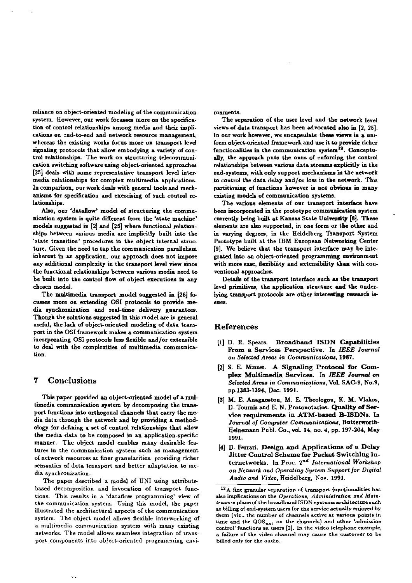reliance on object-oriented modeling of the communication system. However, our work focusses more on the specification of control relationships among media and their implications on end-to-end and network resource management, whereas the existing works focus more on transport level signaling protocols that allow embodying a variety of control relationships. The work on structuring telecommunication switching software using object-oriented approaches [25] deals with some representative transport level intermedia relationships for complex multimedia applications. In comparison, our work deals with general tools and mechanisms for specification and exercising of such control relationships.

Also, our 'dataflow' model of structuring the communication system is quite different from the 'state machine' models suggested in [2] and [25] where functional relationships between various media are implicitly built into the 'state transition' procedures in the object internal structure. Given the need to tap the communication parallelism inherent in an application, our approach does not impose any additional complexity in the transport level view since the functional relationships between various media need to be built into the control flow of object executions in any chosen model.

The multimedia transport model suggested in [26] focusses more on extending OSI protocols to provide media synchronization and real-time delivery guarantees. Though the solutions suggested in this model are in general useful, the lack of object-oriented modeling of data transport in the OSI framework makes a communication system incorporating OSI protocols less flexible and/or extensible to deal with the complexities of multimedia communication.

#### $\overline{7}$ Conclusions

This paper provided an object-oriented model of a multimedia communication system by decomposing the transport functions into orthogonal channels that carry the media data through the network and by providing a methodology for defining a set of control relationships that allow the media data to be composed in an application-specific manner. The object model enables many desirable features in the communication system such as management of network resources at finer granularities, providing richer semantics of data transport and better adaptation to media synchronization.

The paper described a model of UNI using attributebased decomposition and invocation of transport functions. This results in a 'dataflow programming' view of the communication system. Using this model, the paper illustrated the architectural aspects of the communication system. The object model allows flexible interworking of a multimedia communication system with many existing networks. The model allows seamless integration of transport components into object-oriented programming environments.

The separation of the user level and the network level views of data transport has been advocated also in [2, 25]. In our work however, we encapsulate these views in a uniform object-oriented framework and use it to provide richer functionalities in the communication system<sup>12</sup>. Conceptually, the approach puts the onus of enforcing the control relationships between various data streams explicitly in the end-systems, with only support mechanisms in the network to control the data delay and/or loss in the network. This partitioning of functions however is not obvious in many existing models of communication systems.

The various elements of our transport interface have been incorporated in the prototype communication system currently being built at Kansas State University [8]. These elements are also supported, in one form or the other and in varying degrees, in the Heidelberg Transport System Prototype built at the IBM European Networking Center [9]. We believe that the transport interface may be integrated into an object-oriented programming environment with more ease, flexibility and extensibility than with conventional approaches.

Details of the transport interface such as the transport level primitives, the application structure and the underlying transport protocols are other interesting research isaues.

## **References**

- [1] D. R. Spears. Broadband ISDN Capabilities From a Services Perspective. In IEEE Journal on Selected Areas in Communications, 1987.
- [2] S. E. Minzer. A Signaling Protocol for Complex Multimedia Services. In IEEE Journal on Selected Areas in Communications, Vol. SAC-9, No.9, pp.1383-1394, Dec. 1991.
- [3] M. E. Anagnostou, M. E. Theologou, K. M. Vlakos, D. Tournis and E. N. Protonotarios. Quality of Service requirements in ATM-based B-ISDNs. In Journal of Computer Communications, Butterworth-Heinemann Publ. Co., vol. 14, no. 4, pp. 197-204, May 1991.
- [4] D. Ferrari. Design and Applications of a Delay Jitter Control Scheme for Packet Switching Internetworks. In Proc. 2<sup>nd</sup> International Workshop on Network and Operating System Support for Digital Audio and Video, Heidelberg, Nov. 1991.

<sup>&</sup>lt;sup>12</sup>A fine granular separation of transport functionalities has also implications on the Operations, Administration and Maintenance plane of the broadband ISDN systems architecture such as billing of end-system users for the service actually enjoyed by them (viz., the number of channels active at various points in time and the  $QOS_{net}$  on the channels) and other 'admission control' functions on users [2]. In the video telephone example, a failure of the video channel may cause the customer to be billed only for the audio.